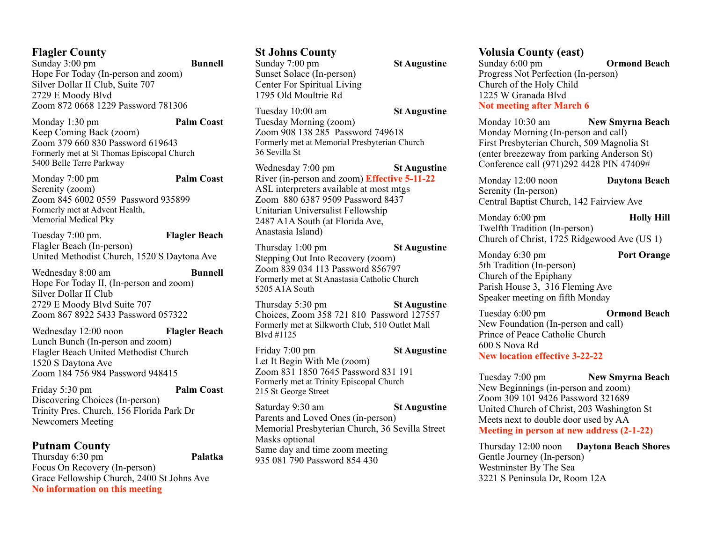#### **Flagler County**

Sunday 3:00 pm **Bunnell** Hope For Today (In-person and zoom) Silver Dollar II Club, Suite 707 2729 E Moody Blvd Zoom 872 0668 1229 Password 781306

Monday 1:30 pm **Palm Coast** Keep Coming Back (zoom) Zoom 379 660 830 Password 619643 Formerly met at St Thomas Episcopal Church 5400 Belle Terre Parkway

Monday 7:00 pm **Palm Coast** Serenity (zoom) Zoom 845 6002 0559 Password 935899 Formerly met at Advent Health, Memorial Medical Pky

Tuesday 7:00 pm. **Flagler Beach** Flagler Beach (In-person) United Methodist Church, 1520 S Daytona Ave

Wednesday 8:00 am **Bunnell** Hope For Today II, (In-person and zoom) Silver Dollar II Club 2729 E Moody Blvd Suite 707 Zoom 867 8922 5433 Password 057322

Wednesday 12:00 noon **Flagler Beach** Lunch Bunch (In-person and zoom) Flagler Beach United Methodist Church 1520 S Daytona Ave Zoom 184 756 984 Password 948415

Friday 5:30 pm **Palm Coast** Discovering Choices (In-person) Trinity Pres. Church, 156 Florida Park Dr Newcomers Meeting

**Putnam County**  Thursday 6:30 pm **Palatka** Focus On Recovery (In-person) Grace Fellowship Church, 2400 St Johns Ave **No information on this meeting** 

#### **St Johns County**

Sunday 7:00 pm **St Augustine** Sunset Solace (In-person) Center For Spiritual Living 1795 Old Moultrie Rd

Tuesday 10:00 am **St Augustine**

Tuesday Morning (zoom) Zoom 908 138 285 Password 749618 Formerly met at Memorial Presbyterian Church 36 Sevilla St

Wednesday 7:00 pm **St Augustine** River (in-person and zoom) **Effective 5-11-22** ASL interpreters available at most mtgs Zoom 880 6387 9509 Password 8437 Unitarian Universalist Fellowship 2487 A1A South (at Florida Ave, Anastasia Island)

Thursday 1:00 pm **St Augustine** Stepping Out Into Recovery (zoom) Zoom 839 034 113 Password 856797 Formerly met at St Anastasia Catholic Church 5205 A1A South

Thursday 5:30 pm **St Augustine** Choices, Zoom 358 721 810 Password 127557 Formerly met at Silkworth Club, 510 Outlet Mall Blvd #1125

Friday 7:00 pm **St Augustine** Let It Begin With Me (zoom) Zoom 831 1850 7645 Password 831 191 Formerly met at Trinity Episcopal Church 215 St George Street

Saturday 9:30 am **St Augustine** Parents and Loved Ones (in-person) Memorial Presbyterian Church, 36 Sevilla Street Masks optional Same day and time zoom meeting 935 081 790 Password 854 430

### **Volusia County (east)**

Sunday 6:00 pm **Ormond Beach** Progress Not Perfection (In-person) Church of the Holy Child 1225 W Granada Blvd **Not meeting after March 6** 

Monday 10:30 am **New Smyrna Beach** Monday Morning (In-person and call) First Presbyterian Church, 509 Magnolia St (enter breezeway from parking Anderson St) Conference call (971)292 4428 PIN 47409#

Monday 12:00 noon **Daytona Beach** Serenity (In-person) Central Baptist Church, 142 Fairview Ave

Monday 6:00 pm **Holly Hill** Twelfth Tradition (In-person) Church of Christ, 1725 Ridgewood Ave (US 1)

Monday 6:30 pm **Port Orange** 5th Tradition (In-person) Church of the Epiphany Parish House 3, 316 Fleming Ave Speaker meeting on fifth Monday

Tuesday 6:00 pm **Ormond Beach** New Foundation (In-person and call) Prince of Peace Catholic Church 600 S Nova Rd **New location effective 3-22-22** 

Tuesday 7:00 pm **New Smyrna Beach** New Beginnings (in-person and zoom) Zoom 309 101 9426 Password 321689 United Church of Christ, 203 Washington St Meets next to double door used by AA **Meeting in person at new address (2-1-22)** 

Thursday 12:00 noon **Daytona Beach Shores** Gentle Journey (In-person) Westminster By The Sea 3221 S Peninsula Dr, Room 12A